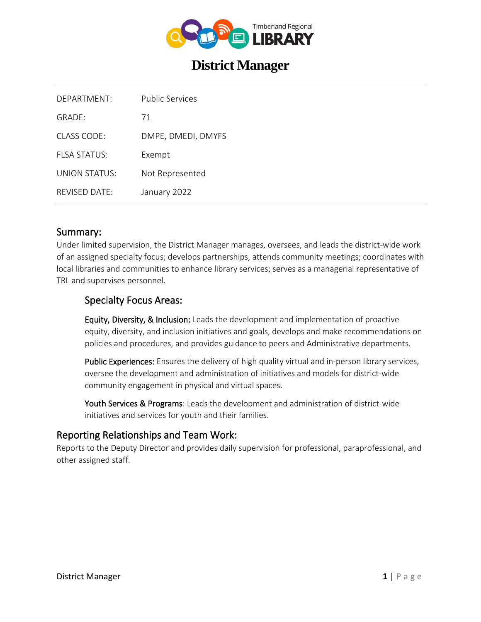

# **District Manager**

| DEPARTMENT:      | <b>Public Services</b> |
|------------------|------------------------|
| GRADE:           | 71                     |
| CLASS CODE:      | DMPE, DMEDI, DMYFS     |
| FI SA STATUS:    | Exempt                 |
| UNION STATUS:    | Not Represented        |
| $RFV$ ISED DATE: | January 2022           |

### Summary:

Under limited supervision, the District Manager manages, oversees, and leads the district-wide work of an assigned specialty focus; develops partnerships, attends community meetings; coordinates with local libraries and communities to enhance library services; serves as a managerial representative of TRL and supervises personnel.

### Specialty Focus Areas:

Equity, Diversity, & Inclusion: Leads the development and implementation of proactive equity, diversity, and inclusion initiatives and goals, develops and make recommendations on policies and procedures, and provides guidance to peers and Administrative departments.

Public Experiences: Ensures the delivery of high quality virtual and in-person library services, oversee the development and administration of initiatives and models for district-wide community engagement in physical and virtual spaces.

Youth Services & Programs: Leads the development and administration of district-wide initiatives and services for youth and their families.

### Reporting Relationships and Team Work:

Reports to the Deputy Director and provides daily supervision for professional, paraprofessional, and other assigned staff.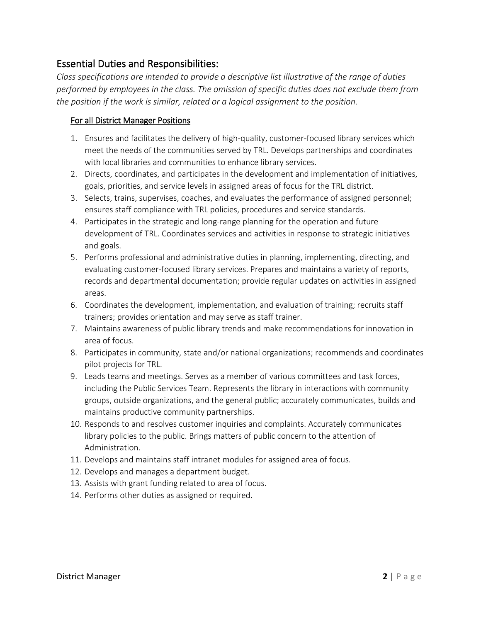# Essential Duties and Responsibilities:

*Class specifications are intended to provide a descriptive list illustrative of the range of duties performed by employees in the class. The omission of specific duties does not exclude them from the position if the work is similar, related or a logical assignment to the position.*

#### For all District Manager Positions

- 1. Ensures and facilitates the delivery of high-quality, customer-focused library services which meet the needs of the communities served by TRL. Develops partnerships and coordinates with local libraries and communities to enhance library services.
- 2. Directs, coordinates, and participates in the development and implementation of initiatives, goals, priorities, and service levels in assigned areas of focus for the TRL district.
- 3. Selects, trains, supervises, coaches, and evaluates the performance of assigned personnel; ensures staff compliance with TRL policies, procedures and service standards.
- 4. Participates in the strategic and long-range planning for the operation and future development of TRL. Coordinates services and activities in response to strategic initiatives and goals.
- 5. Performs professional and administrative duties in planning, implementing, directing, and evaluating customer-focused library services. Prepares and maintains a variety of reports, records and departmental documentation; provide regular updates on activities in assigned areas.
- 6. Coordinates the development, implementation, and evaluation of training; recruits staff trainers; provides orientation and may serve as staff trainer.
- 7. Maintains awareness of public library trends and make recommendations for innovation in area of focus.
- 8. Participates in community, state and/or national organizations; recommends and coordinates pilot projects for TRL.
- 9. Leads teams and meetings. Serves as a member of various committees and task forces, including the Public Services Team. Represents the library in interactions with community groups, outside organizations, and the general public; accurately communicates, builds and maintains productive community partnerships.
- 10. Responds to and resolves customer inquiries and complaints. Accurately communicates library policies to the public. Brings matters of public concern to the attention of Administration.
- 11. Develops and maintains staff intranet modules for assigned area of focus.
- 12. Develops and manages a department budget.
- 13. Assists with grant funding related to area of focus.
- 14. Performs other duties as assigned or required.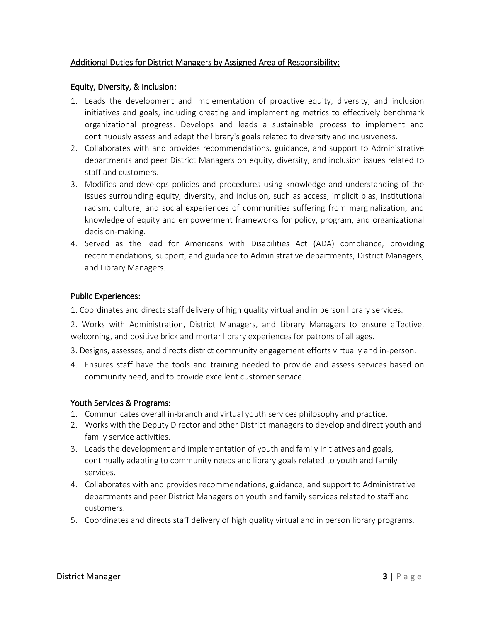#### Additional Duties for District Managers by Assigned Area of Responsibility:

#### Equity, Diversity, & Inclusion:

- 1. Leads the development and implementation of proactive equity, diversity, and inclusion initiatives and goals, including creating and implementing metrics to effectively benchmark organizational progress. Develops and leads a sustainable process to implement and continuously assess and adapt the library's goals related to diversity and inclusiveness.
- 2. Collaborates with and provides recommendations, guidance, and support to Administrative departments and peer District Managers on equity, diversity, and inclusion issues related to staff and customers.
- 3. Modifies and develops policies and procedures using knowledge and understanding of the issues surrounding equity, diversity, and inclusion, such as access, implicit bias, institutional racism, culture, and social experiences of communities suffering from marginalization, and knowledge of equity and empowerment frameworks for policy, program, and organizational decision-making.
- 4. Served as the lead for Americans with Disabilities Act (ADA) compliance, providing recommendations, support, and guidance to Administrative departments, District Managers, and Library Managers.

#### Public Experiences:

1. Coordinates and directs staff delivery of high quality virtual and in person library services.

2. Works with Administration, District Managers, and Library Managers to ensure effective, welcoming, and positive brick and mortar library experiences for patrons of all ages.

- 3. Designs, assesses, and directs district community engagement efforts virtually and in-person.
- 4. Ensures staff have the tools and training needed to provide and assess services based on community need, and to provide excellent customer service.

#### Youth Services & Programs:

- 1. Communicates overall in-branch and virtual youth services philosophy and practice.
- 2. Works with the Deputy Director and other District managers to develop and direct youth and family service activities.
- 3. Leads the development and implementation of youth and family initiatives and goals, continually adapting to community needs and library goals related to youth and family services.
- 4. Collaborates with and provides recommendations, guidance, and support to Administrative departments and peer District Managers on youth and family services related to staff and customers.
- 5. Coordinates and directs staff delivery of high quality virtual and in person library programs.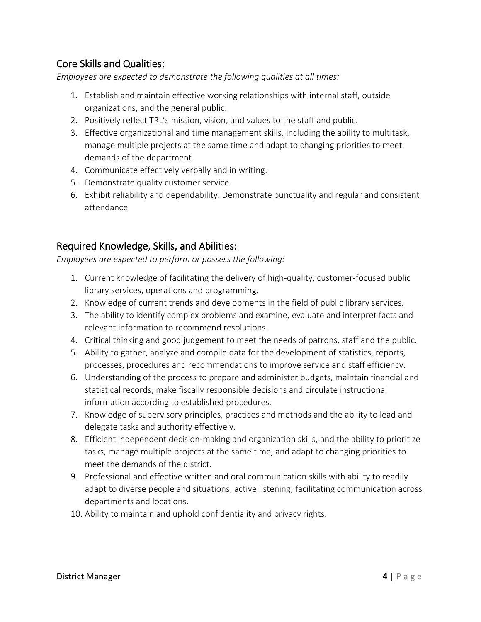# Core Skills and Qualities:

*Employees are expected to demonstrate the following qualities at all times:*

- 1. Establish and maintain effective working relationships with internal staff, outside organizations, and the general public.
- 2. Positively reflect TRL's mission, vision, and values to the staff and public.
- 3. Effective organizational and time management skills, including the ability to multitask, manage multiple projects at the same time and adapt to changing priorities to meet demands of the department.
- 4. Communicate effectively verbally and in writing.
- 5. Demonstrate quality customer service.
- 6. Exhibit reliability and dependability. Demonstrate punctuality and regular and consistent attendance.

# Required Knowledge, Skills, and Abilities:

*Employees are expected to perform or possess the following:*

- 1. Current knowledge of facilitating the delivery of high-quality, customer-focused public library services, operations and programming.
- 2. Knowledge of current trends and developments in the field of public library services.
- 3. The ability to identify complex problems and examine, evaluate and interpret facts and relevant information to recommend resolutions.
- 4. Critical thinking and good judgement to meet the needs of patrons, staff and the public.
- 5. Ability to gather, analyze and compile data for the development of statistics, reports, processes, procedures and recommendations to improve service and staff efficiency.
- 6. Understanding of the process to prepare and administer budgets, maintain financial and statistical records; make fiscally responsible decisions and circulate instructional information according to established procedures.
- 7. Knowledge of supervisory principles, practices and methods and the ability to lead and delegate tasks and authority effectively.
- 8. Efficient independent decision-making and organization skills, and the ability to prioritize tasks, manage multiple projects at the same time, and adapt to changing priorities to meet the demands of the district.
- 9. Professional and effective written and oral communication skills with ability to readily adapt to diverse people and situations; active listening; facilitating communication across departments and locations.
- 10. Ability to maintain and uphold confidentiality and privacy rights.